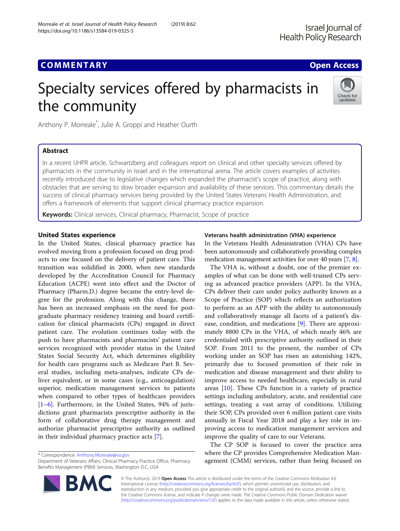## **COMMENTARY COMMENTARY COMMENTARY**

# Specialty services offered by pharmacists in the community



Anthony P. Morreale\* , Julie A. Groppi and Heather Ourth

## Abstract

In a recent IJHPR article, Schwartzberg and colleagues report on clinical and other specialty services offered by pharmacists in the community in Israel and in the international arena. The article covers examples of activities recently introduced due to legislative changes which expanded the pharmacist's scope of practice, along with obstacles that are serving to slow broader expansion and availability of these services. This commentary details the success of clinical pharmacy services being provided by the United States Veterans Health Administration, and offers a framework of elements that support clinical pharmacy practice expansion.

Keywords: Clinical services, Clinical pharmacy, Pharmacist, Scope of practice

## United States experience

In the United States, clinical pharmacy practice has evolved moving from a profession focused on drug products to one focused on the delivery of patient care. This transition was solidified in 2000, when new standards developed by the Accreditation Council for Pharmacy Education (ACPE) went into effect and the Doctor of Pharmacy (Pharm.D.) degree became the entry-level degree for the profession. Along with this change, there has been an increased emphasis on the need for postgraduate pharmacy residency training and board certification for clinical pharmacists (CPs) engaged in direct patient care. The evolution continues today with the push to have pharmacists and pharmacists' patient care services recognized with provider status in the United States Social Security Act, which determines eligibility for health care programs such as Medicare Part B. Several studies, including meta-analyses, indicate CPs deliver equivalent, or in some cases (e.g., anticoagulation) superior, medication management services to patients when compared to other types of healthcare providers [[1](#page-2-0)–[6\]](#page-2-0). Furthermore, in the United States, 94% of jurisdictions grant pharmacists prescriptive authority in the form of collaborative drug therapy management and authorize pharmacist prescriptive authority as outlined in their individual pharmacy practice acts [[7\]](#page-2-0).

\* Correspondence: [Anthony.Morreale@va.gov](mailto:Anthony.Morreale@va.gov)

Department of Veterans Affairs, Clinical Pharmacy Practice Office, Pharmacy Benefits Management (PBM) Services, Washington D.C, USA



## Veterans health administration (VHA) experience

In the Veterans Health Administration (VHA) CPs have been autonomously and collaboratively providing complex medication management activities for over 40 years [\[7,](#page-2-0) [8](#page-2-0)].

The VHA is, without a doubt, one of the premier examples of what can be done with well-trained CPs serving as advanced practice providers (APP). In the VHA, CPs deliver their care under policy authority known as a Scope of Practice (SOP) which reflects an authorization to perform as an APP with the ability to autonomously and collaboratively manage all facets of a patient's disease, condition, and medications [[9](#page-2-0)]. There are approximately 8800 CPs in the VHA, of which nearly 46% are credentialed with prescriptive authority outlined in their SOP. From 2011 to the present, the number of CPs working under an SOP has risen an astonishing 142%, primarily due to focused promotion of their role in medication and disease management and their ability to improve access to needed healthcare, especially in rural areas [\[10\]](#page-2-0). These CPs function in a variety of practice settings including ambulatory, acute, and residential care settings, treating a vast array of conditions. Utilizing their SOP, CPs provided over 6 million patient care visits annually in Fiscal Year 2018 and play a key role in improving access to medication management services and improve the quality of care to our Veterans.

The CP SOP is focused to cover the practice area where the CP provides Comprehensive Medication Management (CMM) services, rather than being focused on

© The Author(s). 2019 Open Access This article is distributed under the terms of the Creative Commons Attribution 4.0 International License [\(http://creativecommons.org/licenses/by/4.0/](http://creativecommons.org/licenses/by/4.0/)), which permits unrestricted use, distribution, and reproduction in any medium, provided you give appropriate credit to the original author(s) and the source, provide a link to the Creative Commons license, and indicate if changes were made. The Creative Commons Public Domain Dedication waiver [\(http://creativecommons.org/publicdomain/zero/1.0/](http://creativecommons.org/publicdomain/zero/1.0/)) applies to the data made available in this article, unless otherwise stated.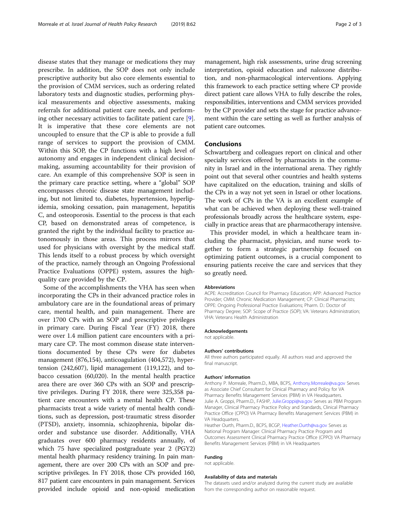disease states that they manage or medications they may prescribe. In addition, the SOP does not only include prescriptive authority but also core elements essential to the provision of CMM services, such as ordering related laboratory tests and diagnostic studies, performing physical measurements and objective assessments, making referrals for additional patient care needs, and performing other necessary activities to facilitate patient care [\[9](#page-2-0)]. It is imperative that these core elements are not uncoupled to ensure that the CP is able to provide a full range of services to support the provision of CMM. Within this SOP, the CP functions with a high level of autonomy and engages in independent clinical decisionmaking, assuming accountability for their provision of care. An example of this comprehensive SOP is seen in the primary care practice setting, where a "global" SOP encompasses chronic disease state management including, but not limited to, diabetes, hypertension, hyperlipidemia, smoking cessation, pain management, hepatitis C, and osteoporosis. Essential to the process is that each CP, based on demonstrated areas of competence, is granted the right by the individual facility to practice autonomously in those areas. This process mirrors that used for physicians with oversight by the medical staff. This lends itself to a robust process by which oversight of the practice, namely through an Ongoing Professional Practice Evaluations (OPPE) system, assures the highquality care provided by the CP.

Some of the accomplishments the VHA has seen when incorporating the CPs in their advanced practice roles in ambulatory care are in the foundational areas of primary care, mental health, and pain management. There are over 1700 CPs with an SOP and prescriptive privileges in primary care. During Fiscal Year (FY) 2018, there were over 1.4 million patient care encounters with a primary care CP. The most common disease state interventions documented by these CPs were for diabetes management (876,154), anticoagulation (404,572), hypertension (242,607), lipid management (119,122), and tobacco cessation (60,020). In the mental health practice area there are over 360 CPs with an SOP and prescriptive privileges. During FY 2018, there were 325,358 patient care encounters with a mental health CP. These pharmacists treat a wide variety of mental health conditions, such as depression, post-traumatic stress disorder (PTSD), anxiety, insomnia, schizophrenia, bipolar disorder and substance use disorder. Additionally, VHA graduates over 600 pharmacy residents annually, of which 75 have specialized postgraduate year 2 (PGY2) mental health pharmacy residency training. In pain management, there are over 200 CPs with an SOP and prescriptive privileges. In FY 2018, those CPs provided 160, 817 patient care encounters in pain management. Services provided include opioid and non-opioid medication

management, high risk assessments, urine drug screening interpretation, opioid education and naloxone distribution, and non-pharmacological interventions. Applying this framework to each practice setting where CP provide direct patient care allows VHA to fully describe the roles, responsibilities, interventions and CMM services provided by the CP provider and sets the stage for practice advancement within the care setting as well as further analysis of patient care outcomes.

### Conclusions

Schwartzberg and colleagues report on clinical and other specialty services offered by pharmacists in the community in Israel and in the international arena. They rightly point out that several other countries and health systems have capitalized on the education, training and skills of the CPs in a way not yet seen in Israel or other locations. The work of CPs in the VA is an excellent example of what can be achieved when deploying these well-trained professionals broadly across the healthcare system, especially in practice areas that are pharmacotherapy intensive.

This provider model, in which a healthcare team including the pharmacist, physician, and nurse work together to form a strategic partnership focused on optimizing patient outcomes, is a crucial component to ensuring patients receive the care and services that they so greatly need.

#### Abbreviations

ACPE: Accreditation Council for Pharmacy Education; APP: Advanced Practice Provider; CMM: Chronic Medication Management; CP: Clinical Pharmacists; OPPE: Ongoing Professional Practice Evaluations; Pharm. D.: Doctor of Pharmacy Degree; SOP: Scope of Practice (SOP); VA: Veterans Administration; VHA: Veterans Health Administration

#### Acknowledgements

not applicable.

#### Authors' contributions

All three authors participated equally. All authors read and approved the final manuscript.

#### Authors' information

Anthony P. Morreale, Pharm.D., MBA, BCPS, [Anthony.Morreale@va.gov](mailto:Anthony.Morreale@va.gov) Serves as Associate Chief Consultant for Clinical Pharmacy and Policy for VA Pharmacy Benefits Management Services (PBM) in VA Headquarters. Julie A. Groppi, Pharm.D., FASHP, [Julie.Groppi@va.gov](mailto:Julie.Groppi@va.gov) Serves as PBM Program Manager, Clinical Pharmacy Practice Policy and Standards, Clinical Pharmacy Practice Office (CPPO) VA Pharmacy Benefits Management Services (PBM) in VA Headquarters.

Heather Ourth, Pharm.D., BCPS, BCGP, [Heather.Ourth@va.gov](mailto:Heather.Ourth@va.gov) Serves as National Program Manager: Clinical Pharmacy Practice Program and Outcomes Assessment Clinical Pharmacy Practice Office (CPPO) VA Pharmacy Benefits Management Services (PBM) in VA Headquarters

#### Funding

## not applicable.

#### Availability of data and materials

The datasets used and/or analyzed during the current study are available from the corresponding author on reasonable request.